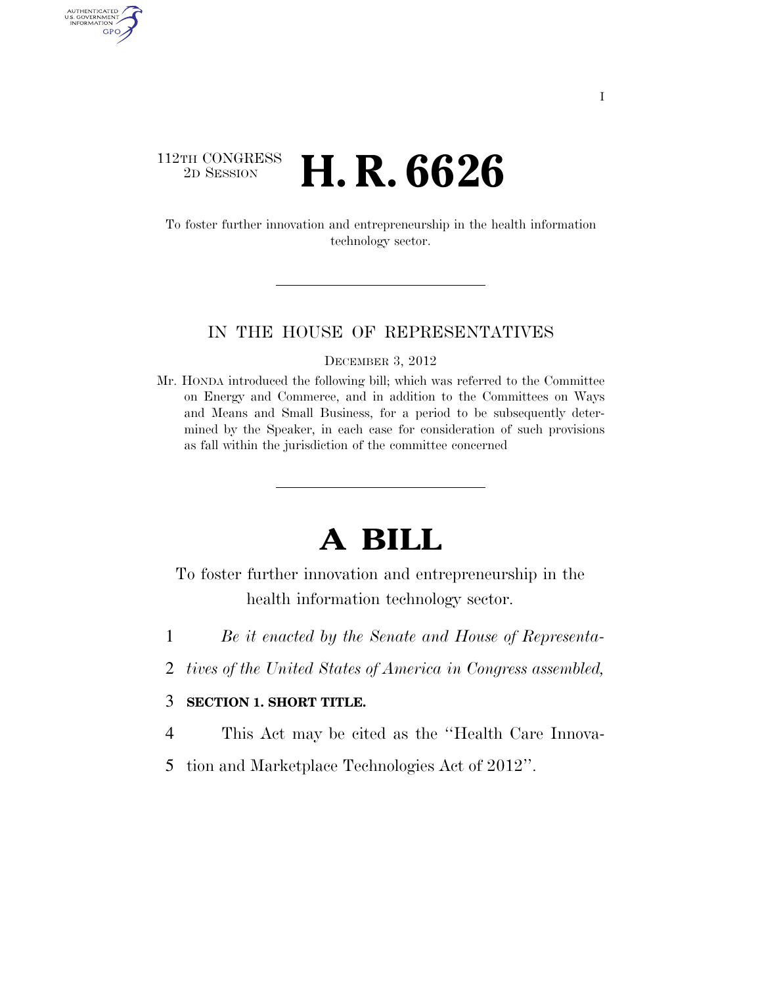### 112TH CONGRESS <sup>2D SESSION</sup> **H. R. 6626**

AUTHENTICATED<br>U.S. GOVERNMENT<br>INFORMATION GPO

> To foster further innovation and entrepreneurship in the health information technology sector.

#### IN THE HOUSE OF REPRESENTATIVES

DECEMBER 3, 2012

Mr. HONDA introduced the following bill; which was referred to the Committee on Energy and Commerce, and in addition to the Committees on Ways and Means and Small Business, for a period to be subsequently determined by the Speaker, in each case for consideration of such provisions as fall within the jurisdiction of the committee concerned

# **A BILL**

To foster further innovation and entrepreneurship in the health information technology sector.

- 1 *Be it enacted by the Senate and House of Representa-*
- 2 *tives of the United States of America in Congress assembled,*

#### 3 **SECTION 1. SHORT TITLE.**

- 4 This Act may be cited as the ''Health Care Innova-
- 5 tion and Marketplace Technologies Act of 2012''.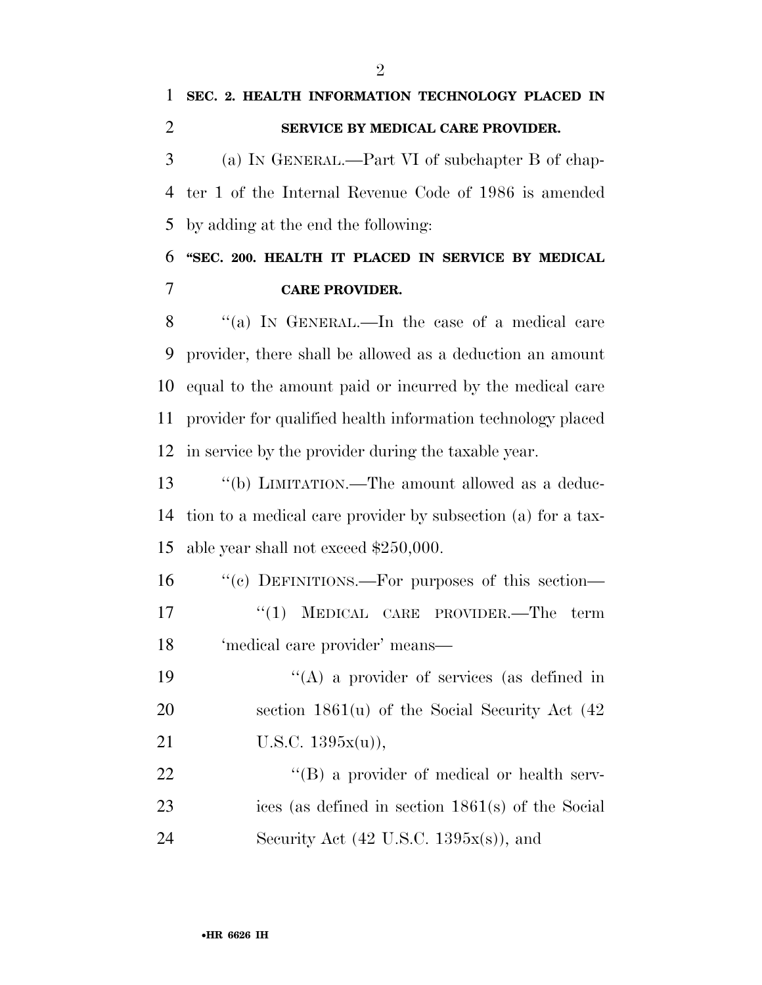# **SEC. 2. HEALTH INFORMATION TECHNOLOGY PLACED IN SERVICE BY MEDICAL CARE PROVIDER.**

 (a) IN GENERAL.—Part VI of subchapter B of chap- ter 1 of the Internal Revenue Code of 1986 is amended by adding at the end the following:

## **''SEC. 200. HEALTH IT PLACED IN SERVICE BY MEDICAL CARE PROVIDER.**

8 "(a) In GENERAL.—In the case of a medical care provider, there shall be allowed as a deduction an amount equal to the amount paid or incurred by the medical care provider for qualified health information technology placed in service by the provider during the taxable year.

 ''(b) LIMITATION.—The amount allowed as a deduc- tion to a medical care provider by subsection (a) for a tax-able year shall not exceed \$250,000.

 ''(c) DEFINITIONS.—For purposes of this section— 17 ''(1) MEDICAL CARE PROVIDER.—The term 'medical care provider' means—

19 ''(A) a provider of services (as defined in section 1861(u) of the Social Security Act (42 21 U.S.C. 1395x(u)),

22 ''(B) a provider of medical or health serv- ices (as defined in section 1861(s) of the Social 24 Security Act  $(42 \text{ U.S.C. } 1395x(s))$ , and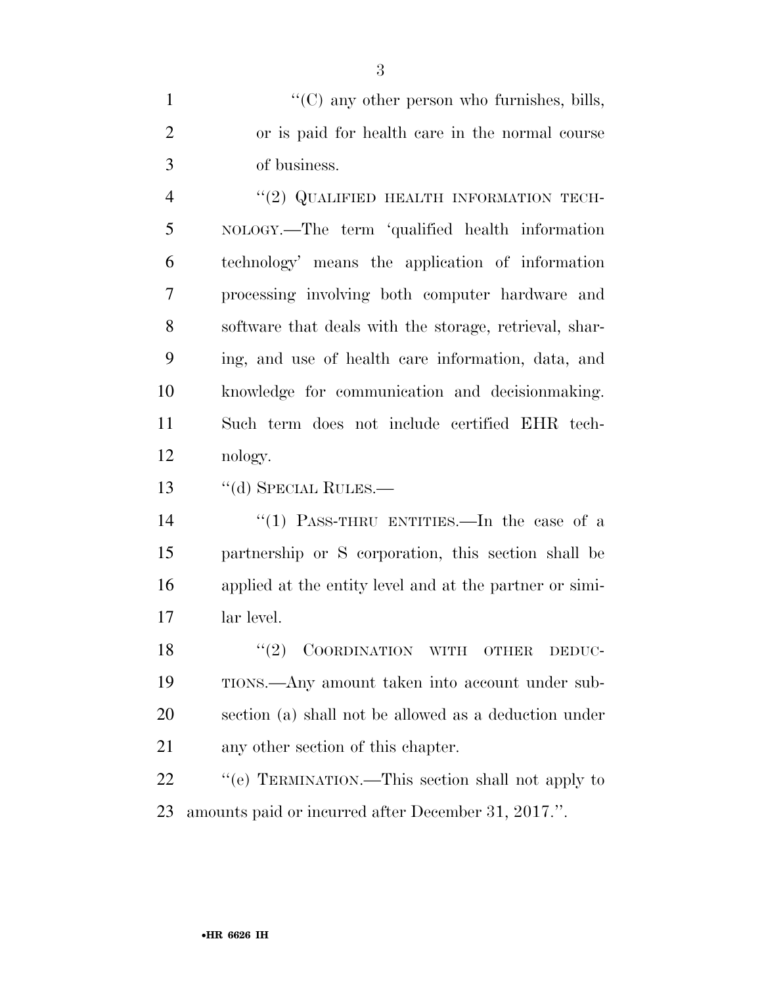1  $\langle ^{\prime}(C)$  any other person who furnishes, bills, or is paid for health care in the normal course of business.

4 "(2) QUALIFIED HEALTH INFORMATION TECH- NOLOGY.—The term 'qualified health information technology' means the application of information processing involving both computer hardware and software that deals with the storage, retrieval, shar- ing, and use of health care information, data, and knowledge for communication and decisionmaking. Such term does not include certified EHR tech-nology.

13 "(d) SPECIAL RULES.—

 ''(1) PASS-THRU ENTITIES.—In the case of a partnership or S corporation, this section shall be applied at the entity level and at the partner or simi-lar level.

18 "(2) COORDINATION WITH OTHER DEDUC- TIONS.—Any amount taken into account under sub- section (a) shall not be allowed as a deduction under any other section of this chapter.

22 "'(e) TERMINATION.—This section shall not apply to amounts paid or incurred after December 31, 2017.''.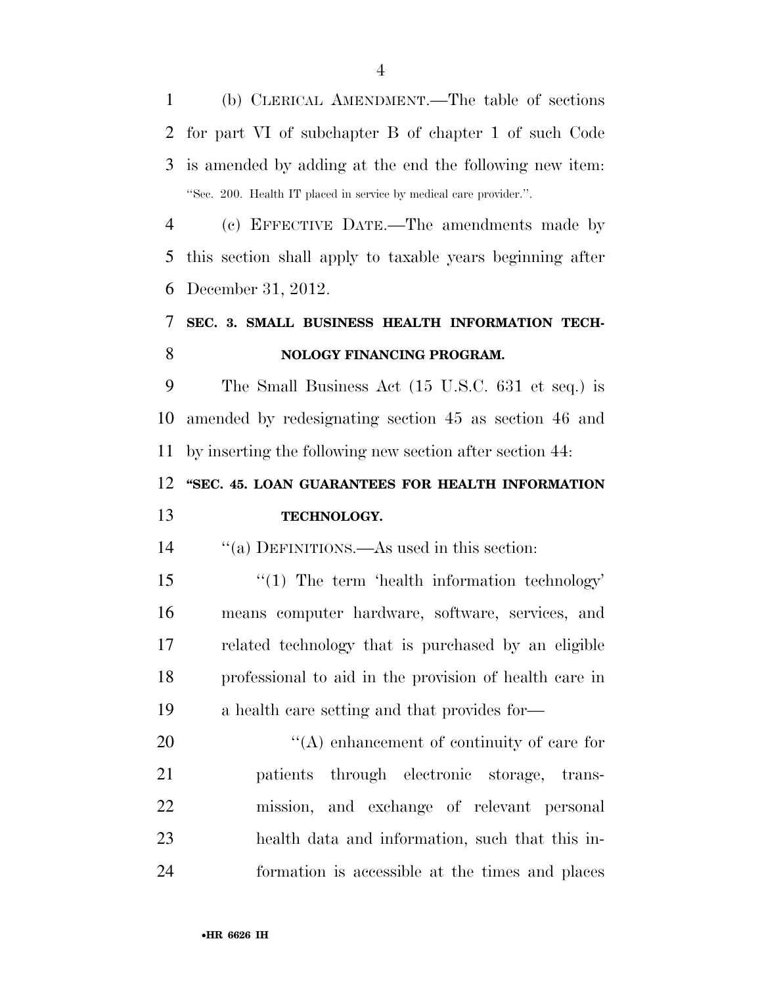(b) CLERICAL AMENDMENT.—The table of sections for part VI of subchapter B of chapter 1 of such Code is amended by adding at the end the following new item: ''Sec. 200. Health IT placed in service by medical care provider.''.

 (c) EFFECTIVE DATE.—The amendments made by this section shall apply to taxable years beginning after December 31, 2012.

## **SEC. 3. SMALL BUSINESS HEALTH INFORMATION TECH-NOLOGY FINANCING PROGRAM.**

 The Small Business Act (15 U.S.C. 631 et seq.) is amended by redesignating section 45 as section 46 and by inserting the following new section after section 44:

#### **''SEC. 45. LOAN GUARANTEES FOR HEALTH INFORMATION**

### **TECHNOLOGY.**

''(a) DEFINITIONS.—As used in this section:

15 "(1) The term 'health information technology' means computer hardware, software, services, and related technology that is purchased by an eligible professional to aid in the provision of health care in a health care setting and that provides for—

 $\langle (A) \rangle$  enhancement of continuity of care for patients through electronic storage, trans- mission, and exchange of relevant personal health data and information, such that this in-formation is accessible at the times and places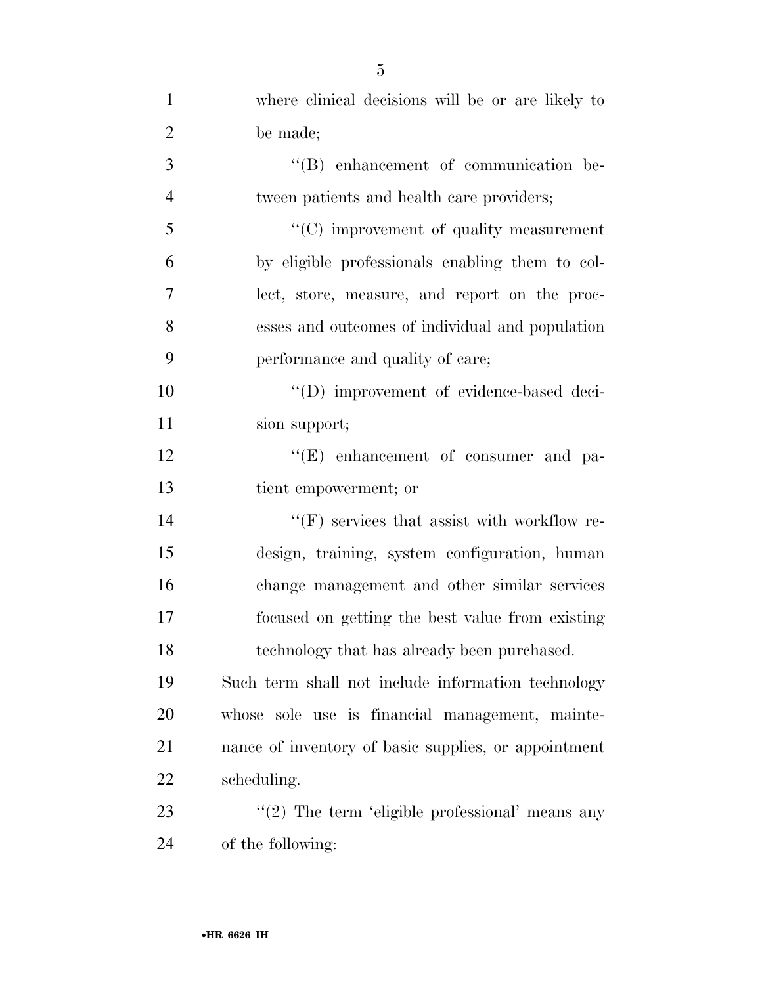| $\mathbf{1}$   | where clinical decisions will be or are likely to    |
|----------------|------------------------------------------------------|
| $\overline{2}$ | be made;                                             |
| 3              | "(B) enhancement of communication be-                |
| $\overline{4}$ | tween patients and health care providers;            |
| 5              | $\cdot\cdot$ (C) improvement of quality measurement  |
| 6              | by eligible professionals enabling them to col-      |
| 7              | lect, store, measure, and report on the proc-        |
| 8              | esses and outcomes of individual and population      |
| 9              | performance and quality of care;                     |
| 10             | "(D) improvement of evidence-based deci-             |
| 11             | sion support;                                        |
| 12             | $\lq\lq(E)$ enhancement of consumer and pa-          |
| 13             | tient empowerment; or                                |
| 14             | $\lq\lq(F)$ services that assist with workflow re-   |
| 15             | design, training, system configuration, human        |
| 16             | change management and other similar services         |
| 17             | focused on getting the best value from existing      |
| 18             | technology that has already been purchased.          |
| 19             | Such term shall not include information technology   |
| 20             | whose sole use is financial management, mainte-      |
| 21             | nance of inventory of basic supplies, or appointment |
| 22             | scheduling.                                          |
| 23             | " $(2)$ The term 'eligible professional' means any   |
| 24             | of the following:                                    |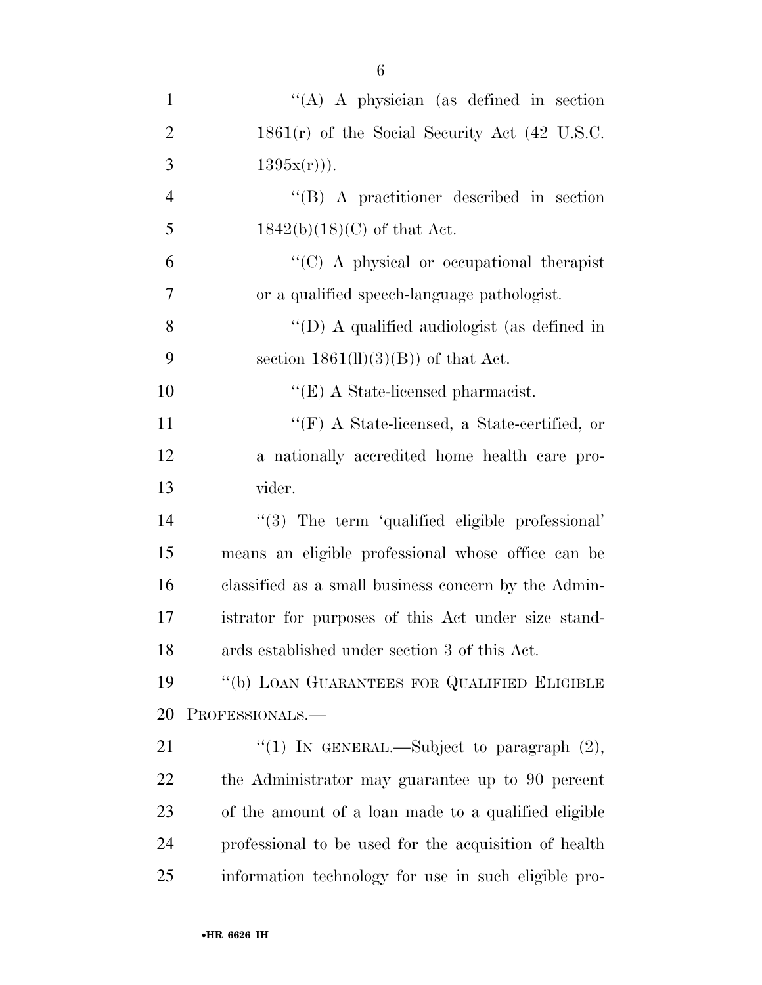| $\mathbf{1}$   | $\lq\lq$ A physician (as defined in section)          |
|----------------|-------------------------------------------------------|
| $\overline{2}$ | $1861(r)$ of the Social Security Act (42 U.S.C.       |
| 3              | $1395x(r))$ .                                         |
| $\overline{4}$ | $\lq\lq (B)$ A practitioner described in section      |
| 5              | $1842(b)(18)(C)$ of that Act.                         |
| 6              | "(C) A physical or occupational therapist             |
| $\overline{7}$ | or a qualified speech-language pathologist.           |
| 8              | "(D) A qualified audiologist (as defined in           |
| 9              | section $1861(\text{ll})(3)(\text{B})$ of that Act.   |
| 10             | $\lq\lq$ (E) A State-licensed pharmacist.             |
| 11             | "(F) A State-licensed, a State-certified, or          |
| 12             | a nationally accredited home health care pro-         |
| 13             | vider.                                                |
| 14             | "(3) The term 'qualified eligible professional'       |
| 15             | means an eligible professional whose office can be    |
| 16             | classified as a small business concern by the Admin-  |
| 17             | istrator for purposes of this Act under size stand-   |
| 18             | ards established under section 3 of this Act.         |
| 19             | "(b) LOAN GUARANTEES FOR QUALIFIED ELIGIBLE           |
| 20             | PROFESSIONALS.-                                       |
| 21             | "(1) IN GENERAL.—Subject to paragraph $(2)$ ,         |
| 22             | the Administrator may guarantee up to 90 percent      |
| 23             | of the amount of a loan made to a qualified eligible  |
| 24             | professional to be used for the acquisition of health |
| 25             | information technology for use in such eligible pro-  |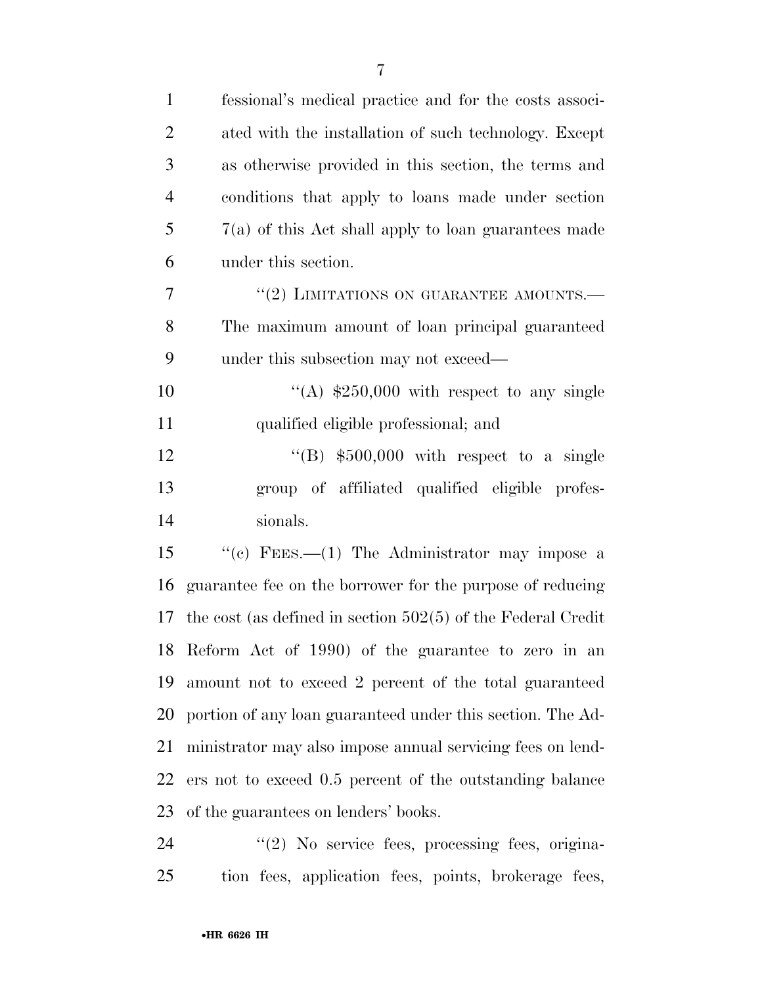| $\mathbf{1}$   | fessional's medical practice and for the costs associ-         |
|----------------|----------------------------------------------------------------|
| $\overline{2}$ | ated with the installation of such technology. Except          |
| 3              | as otherwise provided in this section, the terms and           |
| $\overline{4}$ | conditions that apply to loans made under section              |
| 5              | $7(a)$ of this Act shall apply to loan guarantees made         |
| 6              | under this section.                                            |
| $\overline{7}$ | "(2) LIMITATIONS ON GUARANTEE AMOUNTS.-                        |
| 8              | The maximum amount of loan principal guaranteed                |
| 9              | under this subsection may not exceed—                          |
| 10             | "(A) $$250,000$ with respect to any single                     |
| 11             | qualified eligible professional; and                           |
| 12             | "(B) $$500,000$ with respect to a single                       |
| 13             | group of affiliated qualified eligible profes-                 |
| 14             | sionals.                                                       |
| 15             | "(c) FEES.—(1) The Administrator may impose a                  |
| 16             | guarantee fee on the borrower for the purpose of reducing      |
| 17             | the cost (as defined in section $502(5)$ of the Federal Credit |
|                | 18 Reform Act of 1990) of the guarantee to zero in an          |
| 19             | amount not to exceed 2 percent of the total guaranteed         |
| 20             | portion of any loan guaranteed under this section. The Ad-     |
| 21             | ministrator may also impose annual servicing fees on lend-     |
| 22             | ers not to exceed 0.5 percent of the outstanding balance       |
| 23             | of the guarantees on lenders' books.                           |
| 24             | $\lq(2)$ No service fees, processing fees, origina-            |

tion fees, application fees, points, brokerage fees,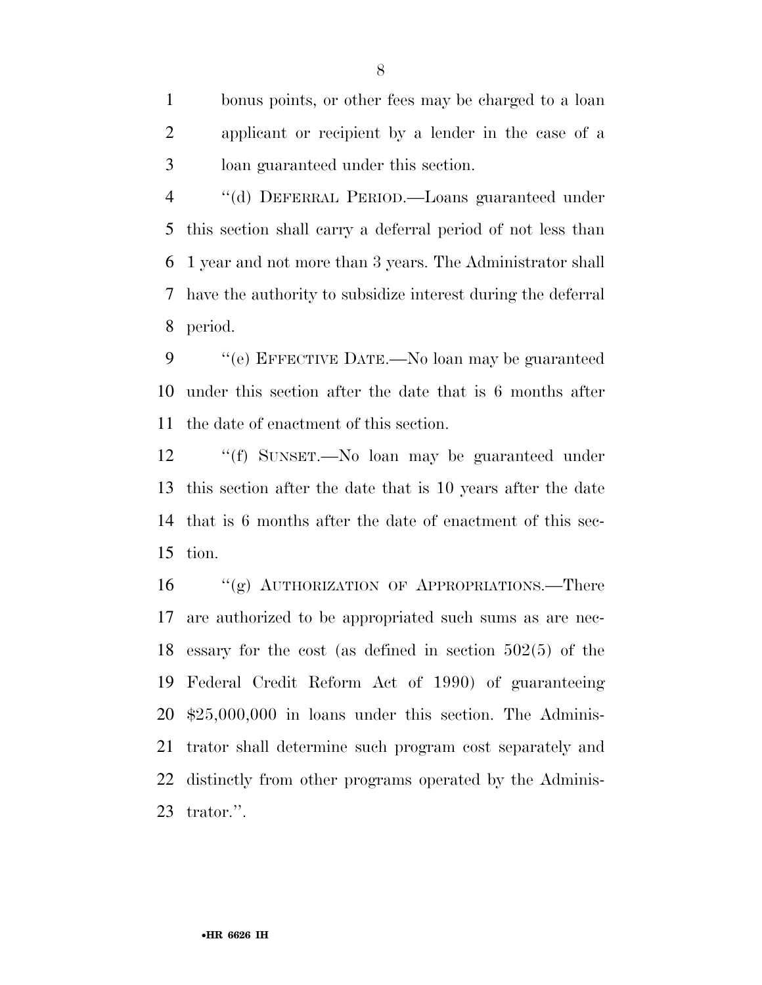bonus points, or other fees may be charged to a loan applicant or recipient by a lender in the case of a loan guaranteed under this section.

 ''(d) DEFERRAL PERIOD.—Loans guaranteed under this section shall carry a deferral period of not less than 1 year and not more than 3 years. The Administrator shall have the authority to subsidize interest during the deferral period.

 ''(e) EFFECTIVE DATE.—No loan may be guaranteed under this section after the date that is 6 months after the date of enactment of this section.

 ''(f) SUNSET.—No loan may be guaranteed under this section after the date that is 10 years after the date that is 6 months after the date of enactment of this sec-tion.

16 "(g) AUTHORIZATION OF APPROPRIATIONS.—There are authorized to be appropriated such sums as are nec- essary for the cost (as defined in section 502(5) of the Federal Credit Reform Act of 1990) of guaranteeing \$25,000,000 in loans under this section. The Adminis- trator shall determine such program cost separately and distinctly from other programs operated by the Adminis-trator.''.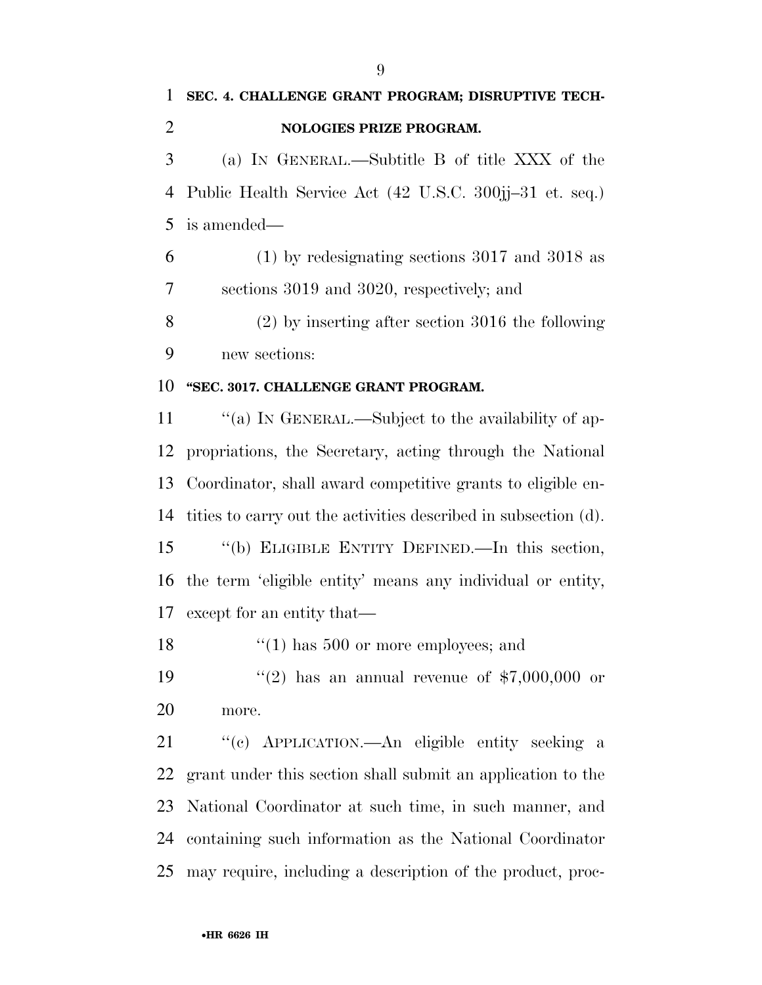| 1              | SEC. 4. CHALLENGE GRANT PROGRAM; DISRUPTIVE TECH-               |
|----------------|-----------------------------------------------------------------|
| $\overline{2}$ | <b>NOLOGIES PRIZE PROGRAM.</b>                                  |
| 3              | (a) IN GENERAL.—Subtitle B of title XXX of the                  |
| $\overline{4}$ | Public Health Service Act (42 U.S.C. 300jj-31 et. seq.)         |
| 5              | is amended—                                                     |
| 6              | $(1)$ by redesignating sections 3017 and 3018 as                |
| 7              | sections 3019 and 3020, respectively; and                       |
| 8              | $(2)$ by inserting after section 3016 the following             |
| 9              | new sections:                                                   |
| 10             | "SEC. 3017. CHALLENGE GRANT PROGRAM.                            |
| 11             | "(a) IN GENERAL.—Subject to the availability of ap-             |
| 12             | propriations, the Secretary, acting through the National        |
| 13             | Coordinator, shall award competitive grants to eligible en-     |
| 14             | tities to carry out the activities described in subsection (d). |
| 15             | "(b) ELIGIBLE ENTITY DEFINED.—In this section,                  |
| 16             | the term 'eligible entity' means any individual or entity,      |
| 17             | except for an entity that—                                      |
| 18             | $(1)$ has 500 or more employees; and                            |
| 19             | "(2) has an annual revenue of $$7,000,000$ or                   |
| 20             | more.                                                           |
| 21             | "(c) APPLICATION.—An eligible entity seeking a                  |
| 22             | grant under this section shall submit an application to the     |
| 23             | National Coordinator at such time, in such manner, and          |
| 24             | containing such information as the National Coordinator         |

may require, including a description of the product, proc-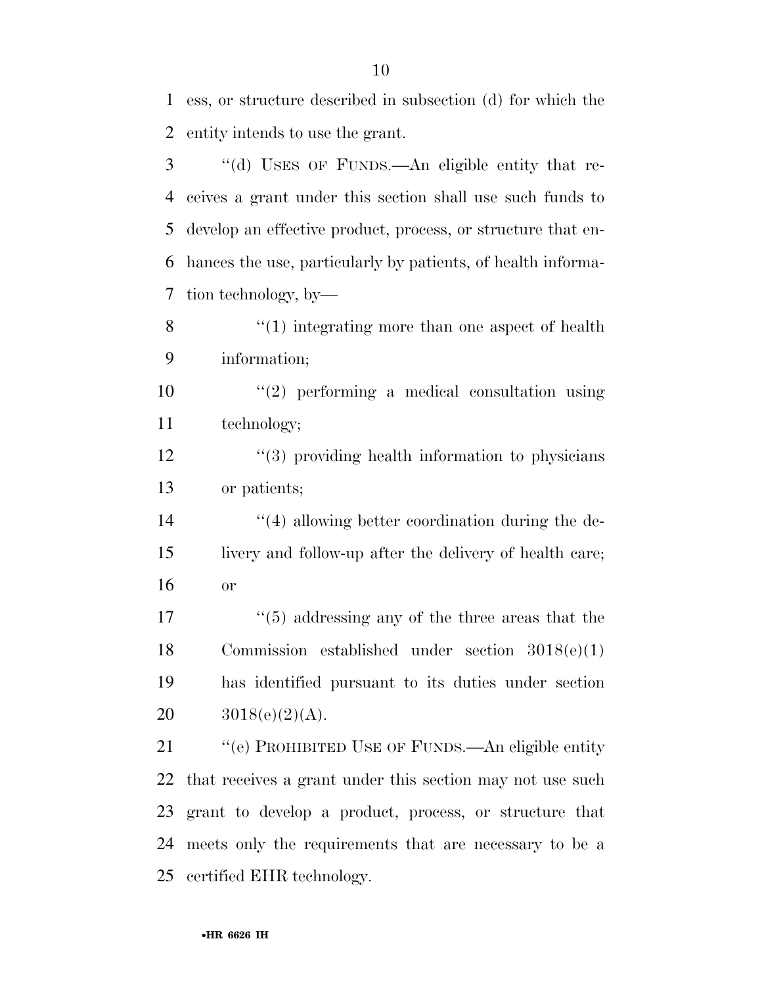ess, or structure described in subsection (d) for which the entity intends to use the grant.

 ''(d) USES OF FUNDS.—An eligible entity that re- ceives a grant under this section shall use such funds to develop an effective product, process, or structure that en- hances the use, particularly by patients, of health informa-tion technology, by—

8 ''(1) integrating more than one aspect of health information;

 ''(2) performing a medical consultation using technology;

12 ''(3) providing health information to physicians or patients;

 ''(4) allowing better coordination during the de- livery and follow-up after the delivery of health care; or

 ''(5) addressing any of the three areas that the Commission established under section 3018(e)(1) has identified pursuant to its duties under section  $3018(e)(2)(A)$ .

21 "(e) PROHIBITED USE OF FUNDS.—An eligible entity that receives a grant under this section may not use such grant to develop a product, process, or structure that meets only the requirements that are necessary to be a certified EHR technology.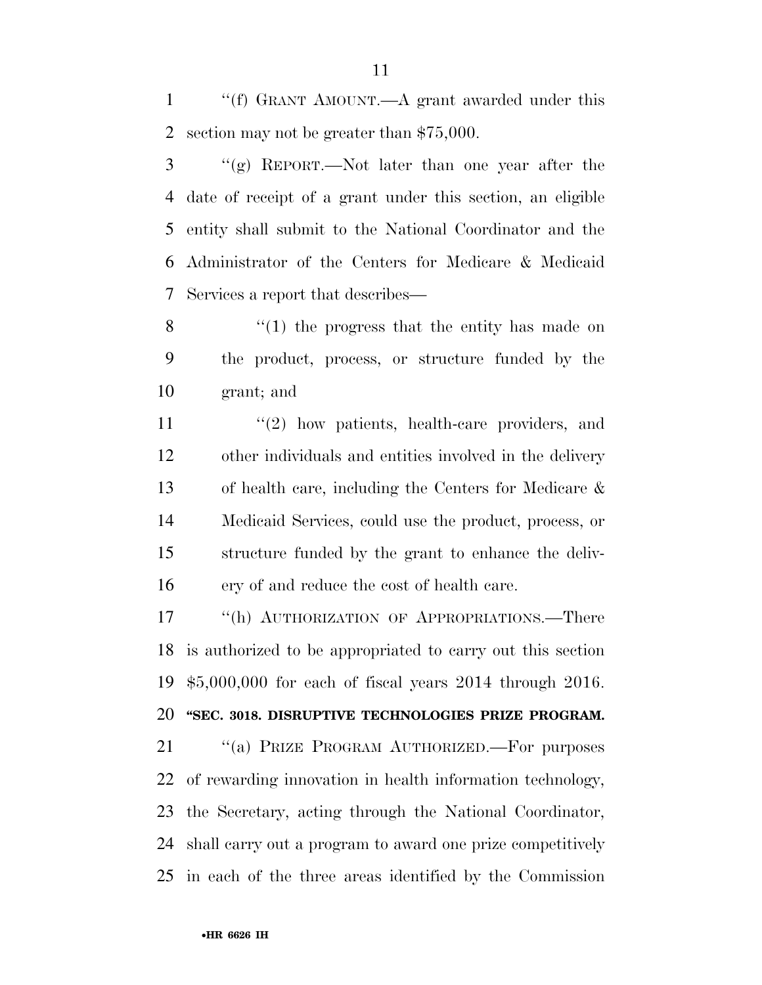''(f) GRANT AMOUNT.—A grant awarded under this section may not be greater than \$75,000.

 ''(g) REPORT.—Not later than one year after the date of receipt of a grant under this section, an eligible entity shall submit to the National Coordinator and the Administrator of the Centers for Medicare & Medicaid Services a report that describes—

8 ''(1) the progress that the entity has made on the product, process, or structure funded by the grant; and

11 ''(2) how patients, health-care providers, and other individuals and entities involved in the delivery of health care, including the Centers for Medicare & Medicaid Services, could use the product, process, or structure funded by the grant to enhance the deliv-ery of and reduce the cost of health care.

17 "(h) AUTHORIZATION OF APPROPRIATIONS.—There is authorized to be appropriated to carry out this section \$5,000,000 for each of fiscal years 2014 through 2016.

### **''SEC. 3018. DISRUPTIVE TECHNOLOGIES PRIZE PROGRAM.**

21 "(a) PRIZE PROGRAM AUTHORIZED.—For purposes of rewarding innovation in health information technology, the Secretary, acting through the National Coordinator, shall carry out a program to award one prize competitively in each of the three areas identified by the Commission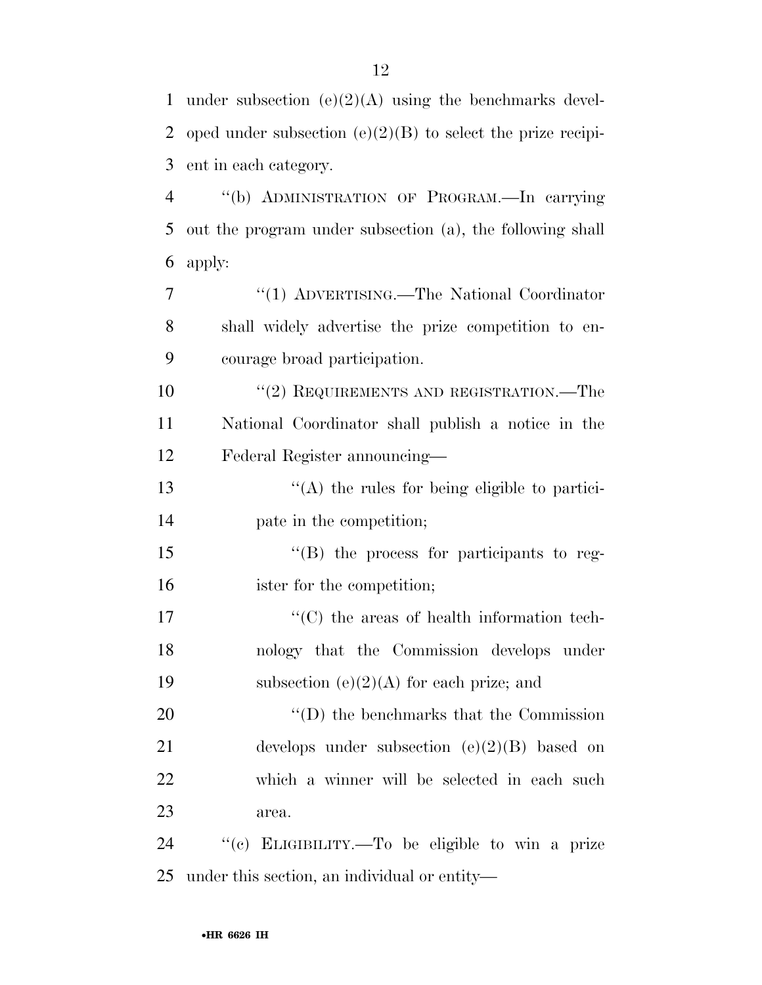| $\mathbf{1}$   | under subsection $(e)(2)(A)$ using the benchmarks devel-      |
|----------------|---------------------------------------------------------------|
| 2              | oped under subsection $(e)(2)(B)$ to select the prize recipi- |
| 3              | ent in each category.                                         |
| $\overline{4}$ | "(b) ADMINISTRATION OF PROGRAM.—In carrying                   |
| 5              | out the program under subsection (a), the following shall     |
| 6              | apply:                                                        |
| 7              | "(1) ADVERTISING.—The National Coordinator                    |
| 8              | shall widely advertise the prize competition to en-           |
| 9              | courage broad participation.                                  |
| 10             | $``(2)$ REQUIREMENTS AND REGISTRATION.—The                    |
| 11             | National Coordinator shall publish a notice in the            |
| 12             | Federal Register announcing-                                  |
| 13             | $\lq\lq$ the rules for being eligible to partici-             |
| 14             | pate in the competition;                                      |
| 15             | "(B) the process for participants to reg-                     |
| 16             | ister for the competition;                                    |
| 17             | $\cdot$ (C) the areas of health information tech-             |
| 18             | nology that the Commission develops under                     |
| 19             | subsection $(e)(2)(A)$ for each prize; and                    |
| 20             | $\lq\lq$ the benchmarks that the Commission                   |
| 21             | develops under subsection $(e)(2)(B)$ based on                |
| 22             | which a winner will be selected in each such                  |
| 23             | area.                                                         |
| 24             | "(c) ELIGIBILITY.—To be eligible to win a prize               |
| 25             | under this section, an individual or entity—                  |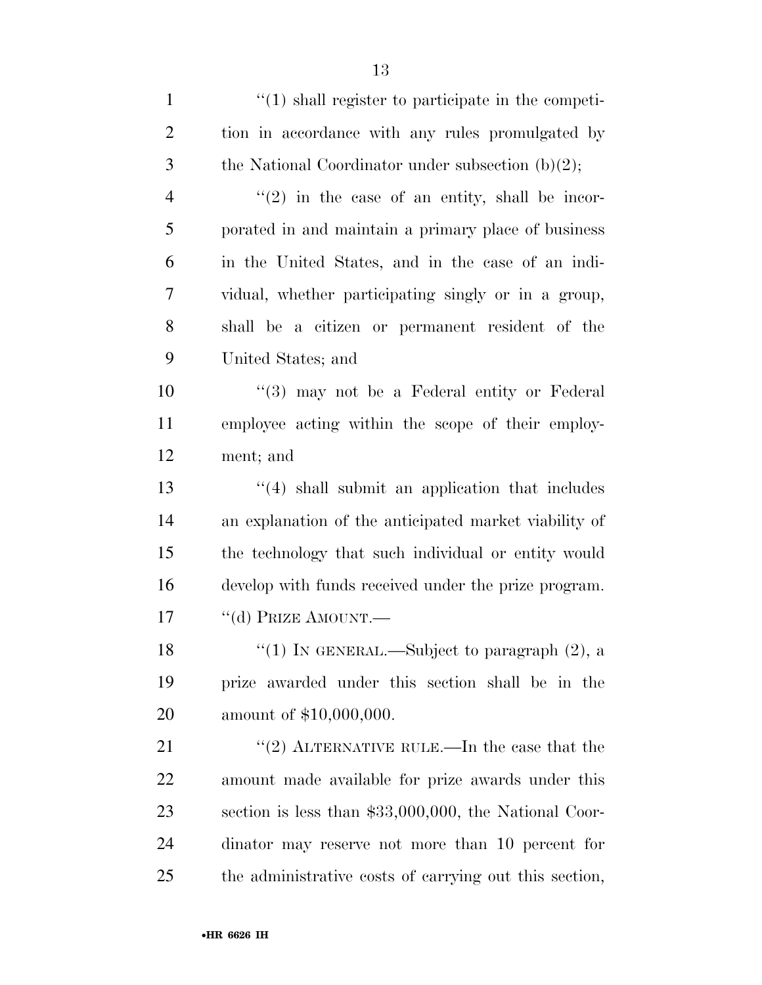| $\mathbf{1}$   | $\lq(1)$ shall register to participate in the competi-  |
|----------------|---------------------------------------------------------|
| $\overline{2}$ | tion in accordance with any rules promulgated by        |
| 3              | the National Coordinator under subsection $(b)(2)$ ;    |
| 4              | $\lq(2)$ in the case of an entity, shall be incor-      |
| 5              | porated in and maintain a primary place of business     |
| 6              | in the United States, and in the case of an indi-       |
| 7              | vidual, whether participating singly or in a group,     |
| 8              | shall be a citizen or permanent resident of the         |
| 9              | United States; and                                      |
| 10             | $(3)$ may not be a Federal entity or Federal            |
| 11             | employee acting within the scope of their employ-       |
| 12             | ment; and                                               |
| 13             | $\cdot$ (4) shall submit an application that includes   |
| 14             | an explanation of the anticipated market viability of   |
| 15             | the technology that such individual or entity would     |
| 16             | develop with funds received under the prize program.    |
| 17             | "(d) PRIZE AMOUNT.—                                     |
| 18             | "(1) IN GENERAL.—Subject to paragraph $(2)$ , a         |
| 19             | prize awarded under this section shall be in the        |
| 20             | amount of \$10,000,000.                                 |
| 21             | "(2) ALTERNATIVE RULE.—In the case that the             |
| 22             | amount made available for prize awards under this       |
| 23             | section is less than $$33,000,000$ , the National Coor- |
| 24             | dinator may reserve not more than 10 percent for        |
| 25             | the administrative costs of carrying out this section,  |
|                |                                                         |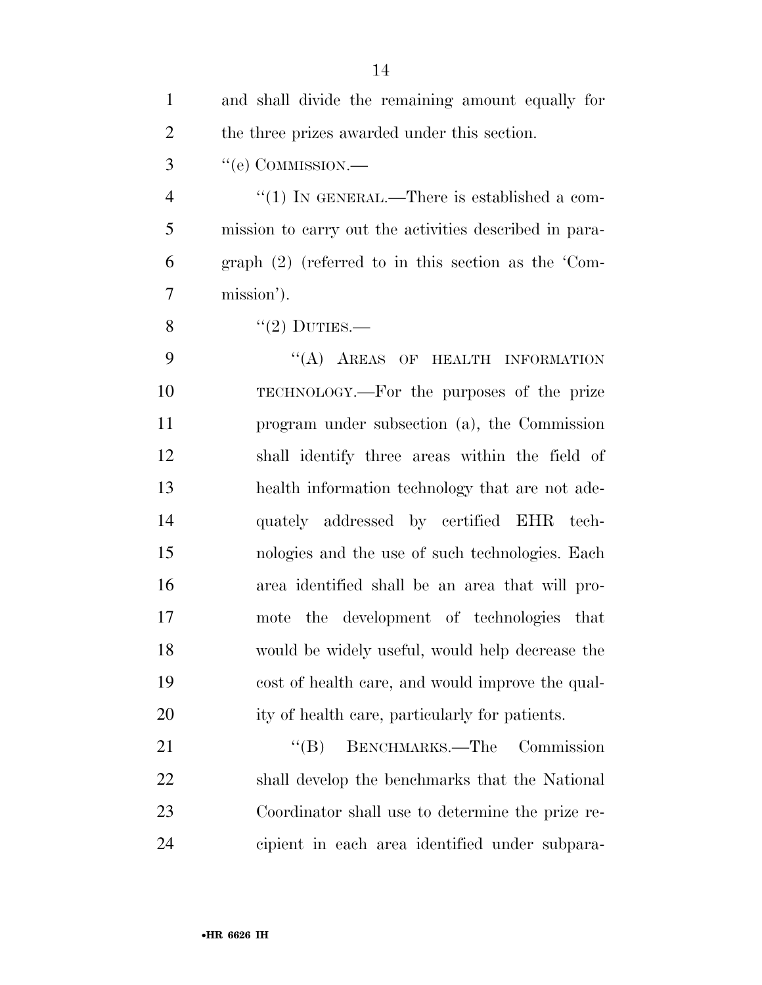| $\mathbf{1}$   | and shall divide the remaining amount equally for      |
|----------------|--------------------------------------------------------|
| $\overline{2}$ | the three prizes awarded under this section.           |
| 3              | $``$ (e) COMMISSION.—                                  |
| $\overline{4}$ | "(1) IN GENERAL.—There is established a com-           |
| 5              | mission to carry out the activities described in para- |
| 6              | graph $(2)$ (referred to in this section as the 'Com-  |
| $\overline{7}$ | mission').                                             |
| 8              | $"(2)$ DUTIES.—                                        |
| 9              | "(A) AREAS OF HEALTH INFORMATION                       |
| 10             | TECHNOLOGY.—For the purposes of the prize              |
| 11             | program under subsection (a), the Commission           |
| 12             | shall identify three areas within the field of         |
| 13             | health information technology that are not ade-        |
| 14             | quately addressed by certified EHR tech-               |
| 15             | nologies and the use of such technologies. Each        |
| 16             | area identified shall be an area that will pro-        |
| 17             | the development of technologies that<br>mote           |
| 18             | would be widely useful, would help decrease the        |
| 19             | cost of health care, and would improve the qual-       |
| 20             | ity of health care, particularly for patients.         |
| 21             | BENCHMARKS.—The<br>Commission<br>$\lq\lq (B)$          |
| 22             | shall develop the benchmarks that the National         |
| 23             | Coordinator shall use to determine the prize re-       |
| 24             | cipient in each area identified under subpara-         |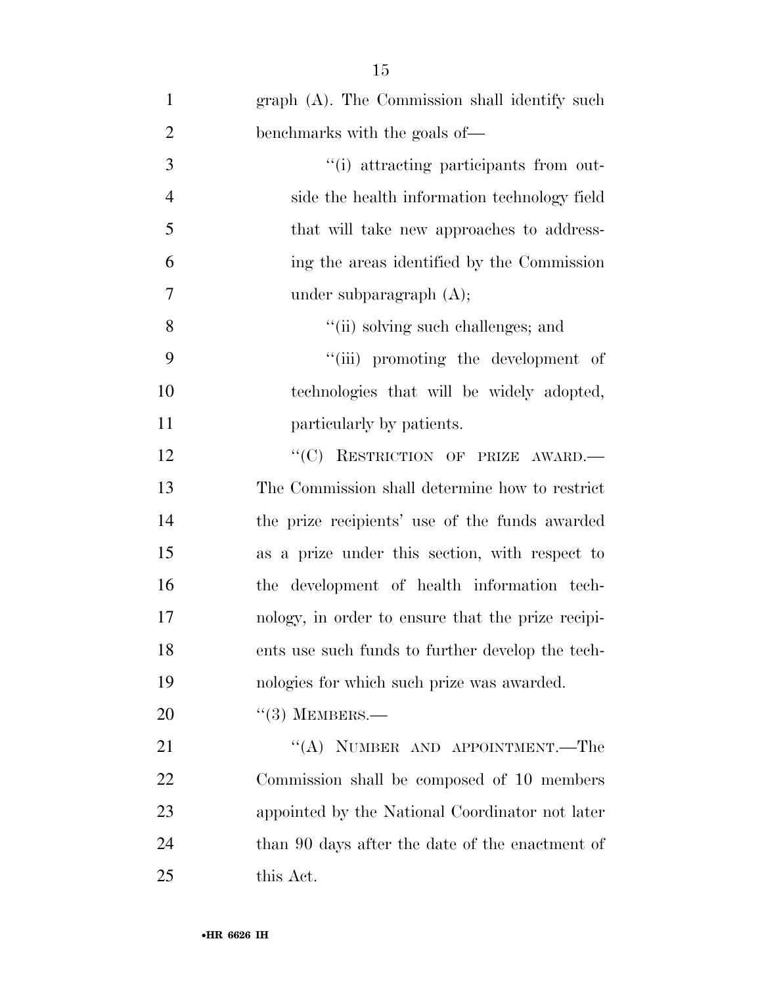| $\mathbf{1}$   | graph (A). The Commission shall identify such     |
|----------------|---------------------------------------------------|
| $\overline{2}$ | benchmarks with the goals of—                     |
| 3              | "(i) attracting participants from out-            |
| $\overline{4}$ | side the health information technology field      |
| 5              | that will take new approaches to address-         |
| 6              | ing the areas identified by the Commission        |
| 7              | under subparagraph $(A)$ ;                        |
| 8              | "(ii) solving such challenges; and                |
| 9              | "(iii) promoting the development of               |
| 10             | technologies that will be widely adopted,         |
| 11             | particularly by patients.                         |
| 12             | "(C) RESTRICTION OF PRIZE AWARD.-                 |
| 13             | The Commission shall determine how to restrict    |
| 14             | the prize recipients' use of the funds awarded    |
| 15             | as a prize under this section, with respect to    |
| 16             | the development of health information tech-       |
| 17             | nology, in order to ensure that the prize recipi- |
| 18             | ents use such funds to further develop the tech-  |
| 19             | nologies for which such prize was awarded.        |
| 20             | $\lq(3)$ MEMBERS.—                                |
| 21             | "(A) NUMBER AND APPOINTMENT.—The                  |
| 22             | Commission shall be composed of 10 members        |
| 23             | appointed by the National Coordinator not later   |
| 24             | than 90 days after the date of the enactment of   |
| 25             | this Act.                                         |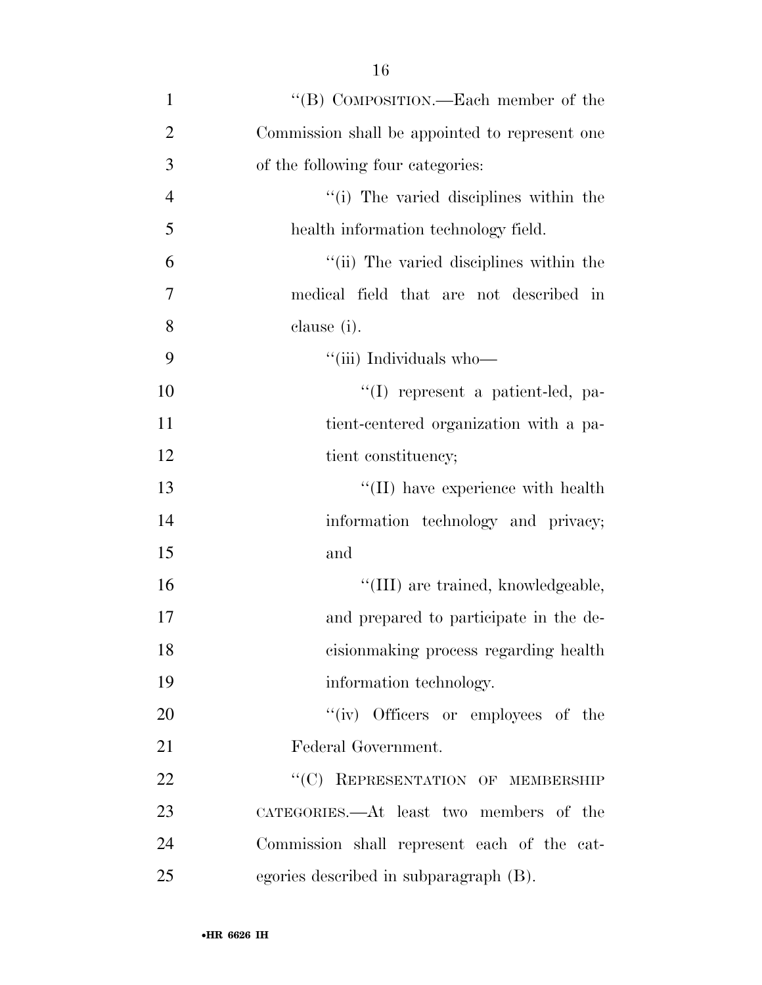| $\mathbf{1}$   | "(B) COMPOSITION.—Each member of the           |
|----------------|------------------------------------------------|
| $\overline{2}$ | Commission shall be appointed to represent one |
| 3              | of the following four categories:              |
| $\overline{4}$ | "(i) The varied disciplines within the         |
| 5              | health information technology field.           |
| 6              | "(ii) The varied disciplines within the        |
| 7              | medical field that are not described in        |
| 8              | clause (i).                                    |
| 9              | "(iii) Individuals who-                        |
| 10             | "(I) represent a patient-led, pa-              |
| 11             | tient-centered organization with a pa-         |
| 12             | tient constituency;                            |
| 13             | "(II) have experience with health              |
| 14             | information technology and privacy;            |
| 15             | and                                            |
| 16             | "(III) are trained, knowledgeable,             |
| 17             | and prepared to participate in the de-         |
| 18             | cision making process regarding health         |
| 19             | information technology.                        |
| 20             | "(iv) Officers or employees of the             |
| 21             | Federal Government.                            |
| 22             | "(C) REPRESENTATION OF MEMBERSHIP              |
| 23             | CATEGORIES.—At least two members of the        |
| 24             | Commission shall represent each of the cat-    |
| 25             | egories described in subparagraph (B).         |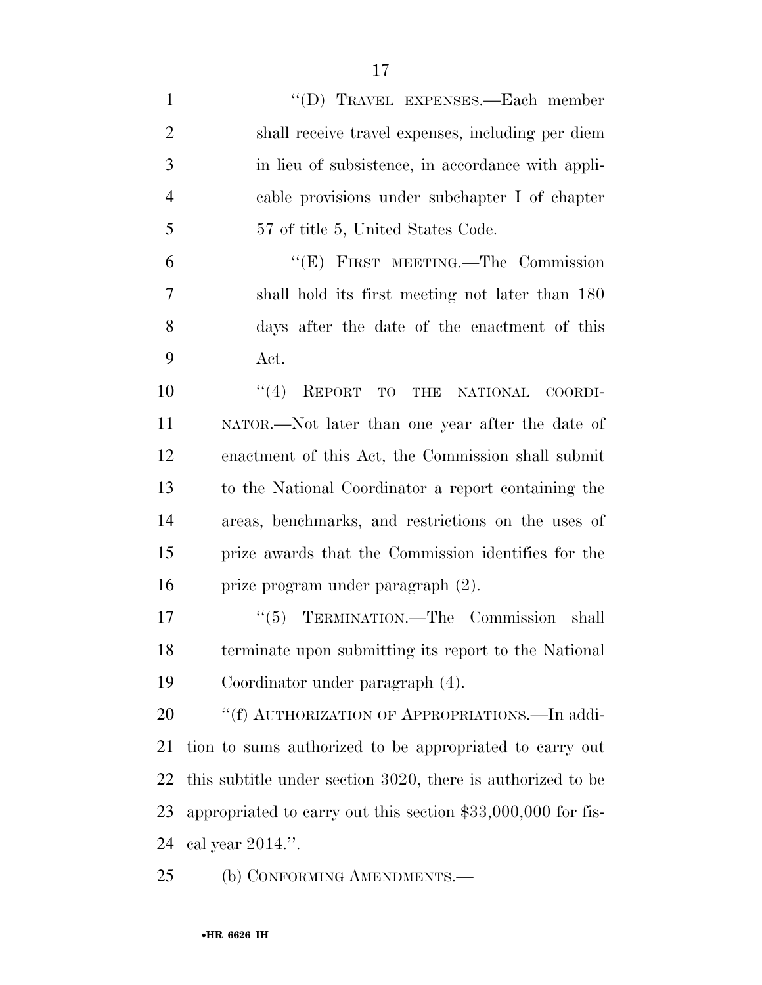''(D) TRAVEL EXPENSES.—Each member shall receive travel expenses, including per diem in lieu of subsistence, in accordance with appli- cable provisions under subchapter I of chapter 57 of title 5, United States Code. ''(E) FIRST MEETING.—The Commission shall hold its first meeting not later than 180 days after the date of the enactment of this Act.  $\frac{10}{10}$  REPORT TO THE NATIONAL COORDI- NATOR.—Not later than one year after the date of enactment of this Act, the Commission shall submit to the National Coordinator a report containing the areas, benchmarks, and restrictions on the uses of prize awards that the Commission identifies for the prize program under paragraph (2). 17 "(5) TERMINATION.—The Commission shall terminate upon submitting its report to the National Coordinator under paragraph (4). 20 "(f) AUTHORIZATION OF APPROPRIATIONS.—In addi- tion to sums authorized to be appropriated to carry out this subtitle under section 3020, there is authorized to be appropriated to carry out this section \$33,000,000 for fis-cal year 2014.''.

25 (b) CONFORMING AMENDMENTS.—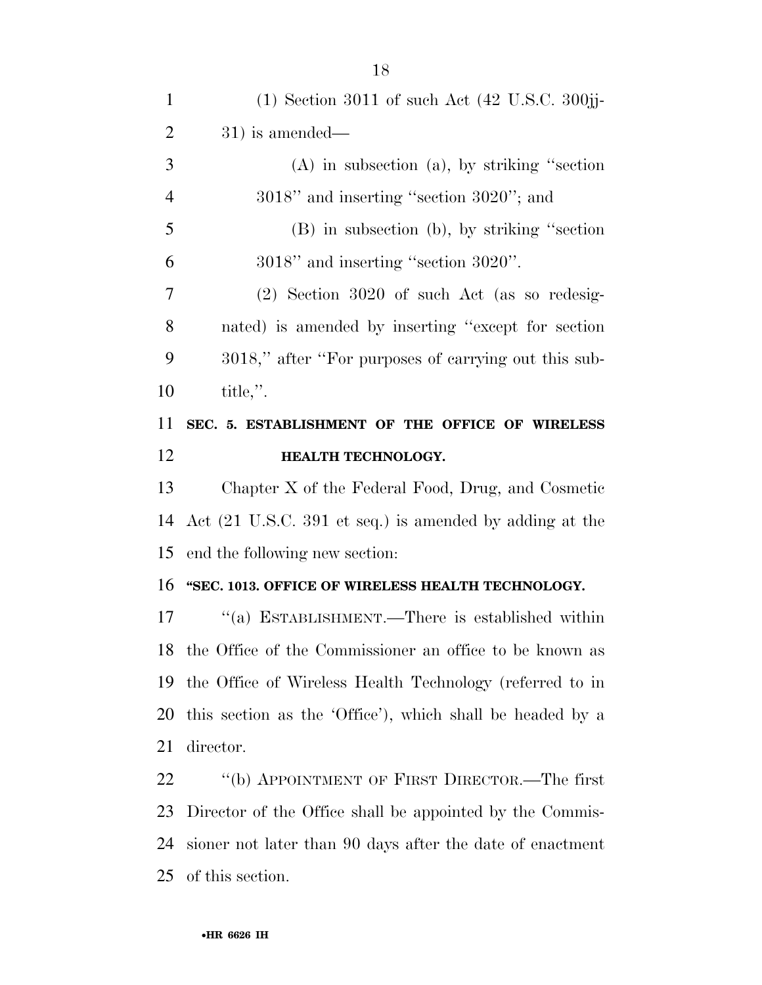| $\mathbf{1}$   | $(1)$ Section 3011 of such Act $(42 \text{ U.S.C. } 300)$  |
|----------------|------------------------------------------------------------|
| $\overline{2}$ | $31)$ is amended—                                          |
| 3              | $(A)$ in subsection $(a)$ , by striking "section"          |
| $\overline{4}$ | $3018"$ and inserting "section $3020"$ ; and               |
| 5              | $(B)$ in subsection $(b)$ , by striking "section"          |
| 6              | $3018"$ and inserting "section $3020"$ .                   |
| $\overline{7}$ | $(2)$ Section 3020 of such Act (as so redesig-             |
| 8              | nated) is amended by inserting "except for section         |
| 9              | 3018," after "For purposes of carrying out this sub-       |
| 10             | title,".                                                   |
| 11             | SEC. 5. ESTABLISHMENT OF THE OFFICE OF WIRELESS            |
| 12             | HEALTH TECHNOLOGY.                                         |
| 13             | Chapter X of the Federal Food, Drug, and Cosmetic          |
| 14             | Act (21 U.S.C. 391 et seq.) is amended by adding at the    |
|                |                                                            |
| 15             | end the following new section:                             |
| 16             | "SEC. 1013. OFFICE OF WIRELESS HEALTH TECHNOLOGY.          |
| 17             | "(a) ESTABLISHMENT.—There is established within            |
|                | 18 the Office of the Commissioner an office to be known as |
| 19             | the Office of Wireless Health Technology (referred to in   |
| 20             | this section as the 'Office'), which shall be headed by a  |
| 21             | director.                                                  |
| 22             | "(b) APPOINTMENT OF FIRST DIRECTOR.—The first              |
| 23             | Director of the Office shall be appointed by the Commis-   |
| 24             | sioner not later than 90 days after the date of enactment  |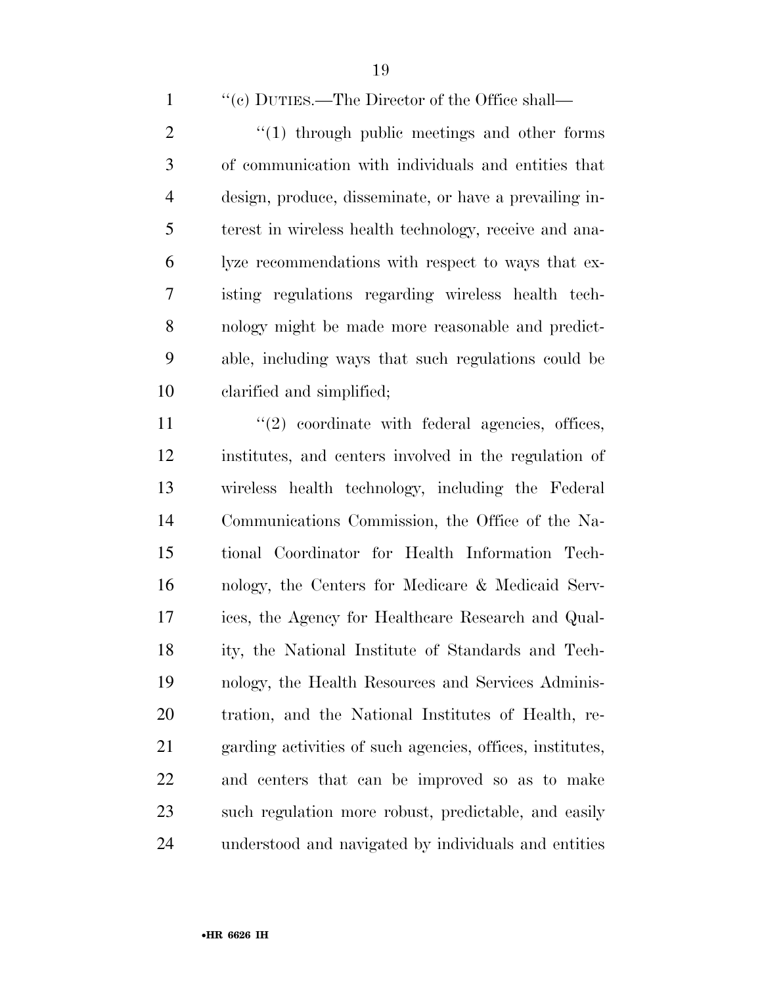''(c) DUTIES.—The Director of the Office shall—

 ''(1) through public meetings and other forms of communication with individuals and entities that design, produce, disseminate, or have a prevailing in- terest in wireless health technology, receive and ana- lyze recommendations with respect to ways that ex- isting regulations regarding wireless health tech- nology might be made more reasonable and predict- able, including ways that such regulations could be clarified and simplified;

11 ''(2) coordinate with federal agencies, offices, institutes, and centers involved in the regulation of wireless health technology, including the Federal Communications Commission, the Office of the Na- tional Coordinator for Health Information Tech- nology, the Centers for Medicare & Medicaid Serv- ices, the Agency for Healthcare Research and Qual- ity, the National Institute of Standards and Tech- nology, the Health Resources and Services Adminis- tration, and the National Institutes of Health, re- garding activities of such agencies, offices, institutes, and centers that can be improved so as to make such regulation more robust, predictable, and easily understood and navigated by individuals and entities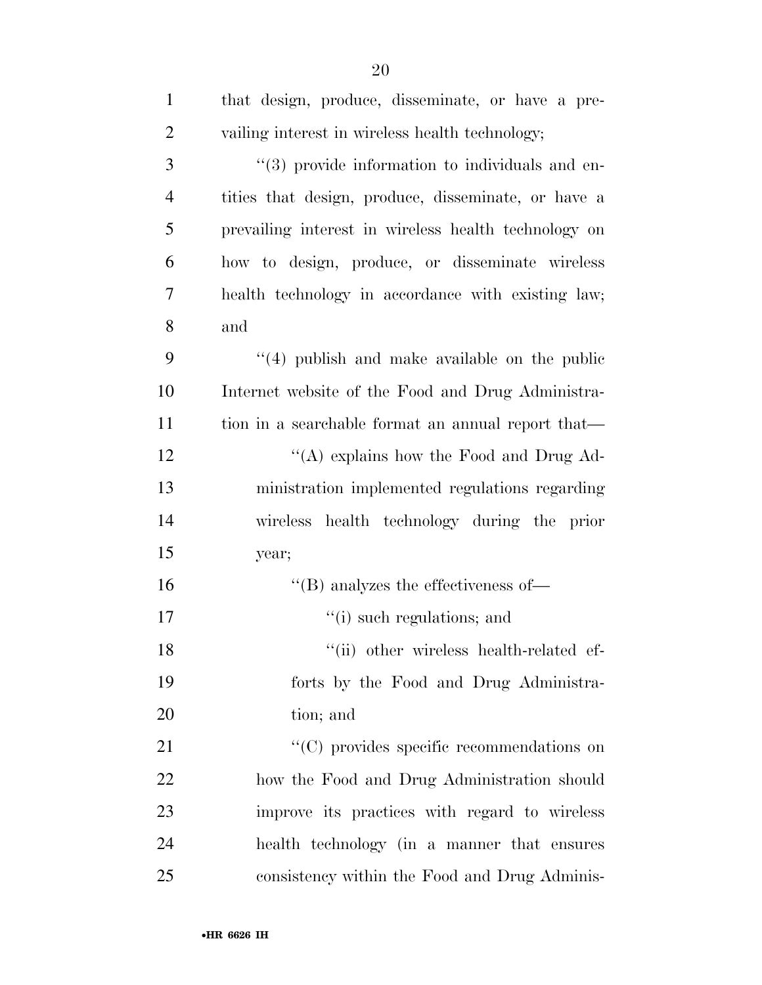| $\mathbf{1}$   | that design, produce, disseminate, or have a pre-     |
|----------------|-------------------------------------------------------|
| $\overline{2}$ | vailing interest in wireless health technology;       |
| 3              | "(3) provide information to individuals and en-       |
| $\overline{4}$ | tities that design, produce, disseminate, or have a   |
| 5              | prevailing interest in wireless health technology on  |
| 6              | how to design, produce, or disseminate wireless       |
| 7              | health technology in accordance with existing law;    |
| 8              | and                                                   |
| 9              | $(4)$ publish and make available on the public        |
| 10             | Internet website of the Food and Drug Administra-     |
| 11             | tion in a searchable format an annual report that—    |
| 12             | "(A) explains how the Food and Drug Ad-               |
| 13             | ministration implemented regulations regarding        |
| 14             | wireless health technology during the prior           |
| 15             | year;                                                 |
| 16             | $\lq\lq$ (B) analyzes the effectiveness of —          |
| 17             | "(i) such regulations; and                            |
| 18             | "(ii) other wireless health-related ef-               |
| 19             | forts by the Food and Drug Administra-                |
| 20             | tion; and                                             |
| 21             | $\cdot\cdot$ (C) provides specific recommendations on |
| 22             | how the Food and Drug Administration should           |
| 23             | improve its practices with regard to wireless         |
| 24             | health technology (in a manner that ensures           |
| 25             | consistency within the Food and Drug Adminis-         |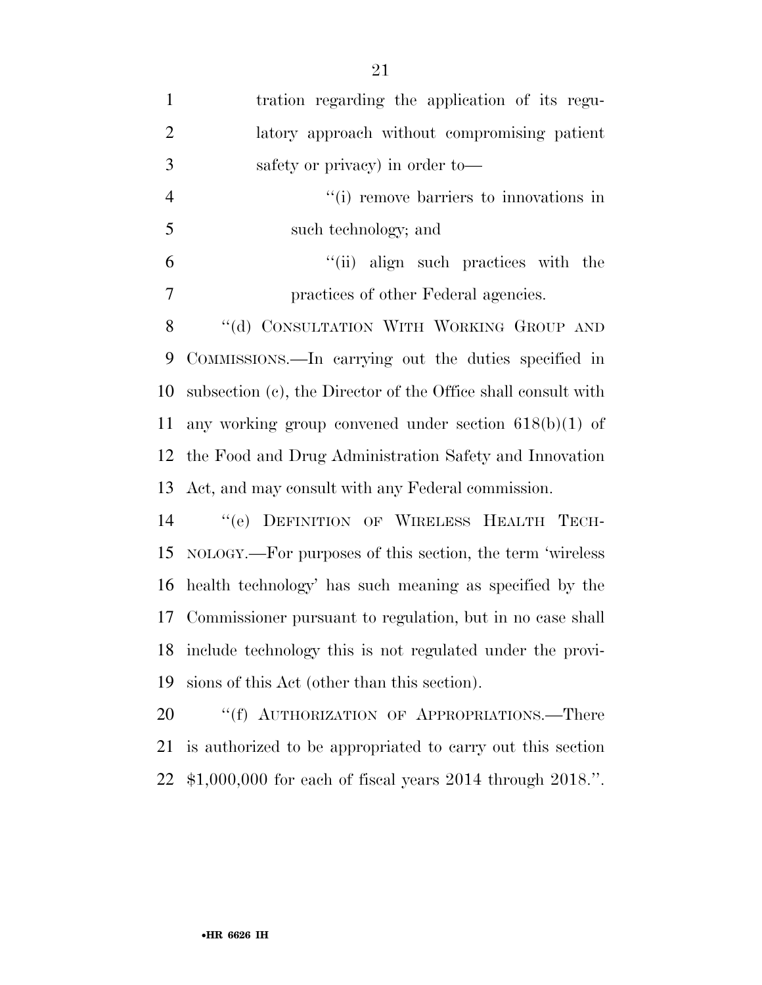| $\mathbf{1}$   | tration regarding the application of its regu-                |
|----------------|---------------------------------------------------------------|
| $\overline{2}$ | latory approach without compromising patient                  |
| 3              | safety or privacy) in order to-                               |
| $\overline{4}$ | "(i) remove barriers to innovations in                        |
| 5              | such technology; and                                          |
| 6              | "(ii) align such practices with the                           |
| $\tau$         | practices of other Federal agencies.                          |
| 8              | "(d) CONSULTATION WITH WORKING GROUP AND                      |
| 9              | COMMISSIONS.—In carrying out the duties specified in          |
| 10             | subsection (c), the Director of the Office shall consult with |
| 11             | any working group convened under section $618(b)(1)$ of       |
| 12             | the Food and Drug Administration Safety and Innovation        |
| 13             | Act, and may consult with any Federal commission.             |
| 14             | "(e) DEFINITION OF WIRELESS HEALTH TECH-                      |
| 15             | NOLOGY.—For purposes of this section, the term 'wireless      |
| 16             | health technology' has such meaning as specified by the       |
| 17             | Commissioner pursuant to regulation, but in no case shall     |
| 18             | include technology this is not regulated under the provi-     |
| 19             | sions of this Act (other than this section).                  |
| 20             | "(f) AUTHORIZATION OF APPROPRIATIONS.—There                   |
| 21             | is authorized to be appropriated to carry out this section    |

\$1,000,000 for each of fiscal years 2014 through 2018.''.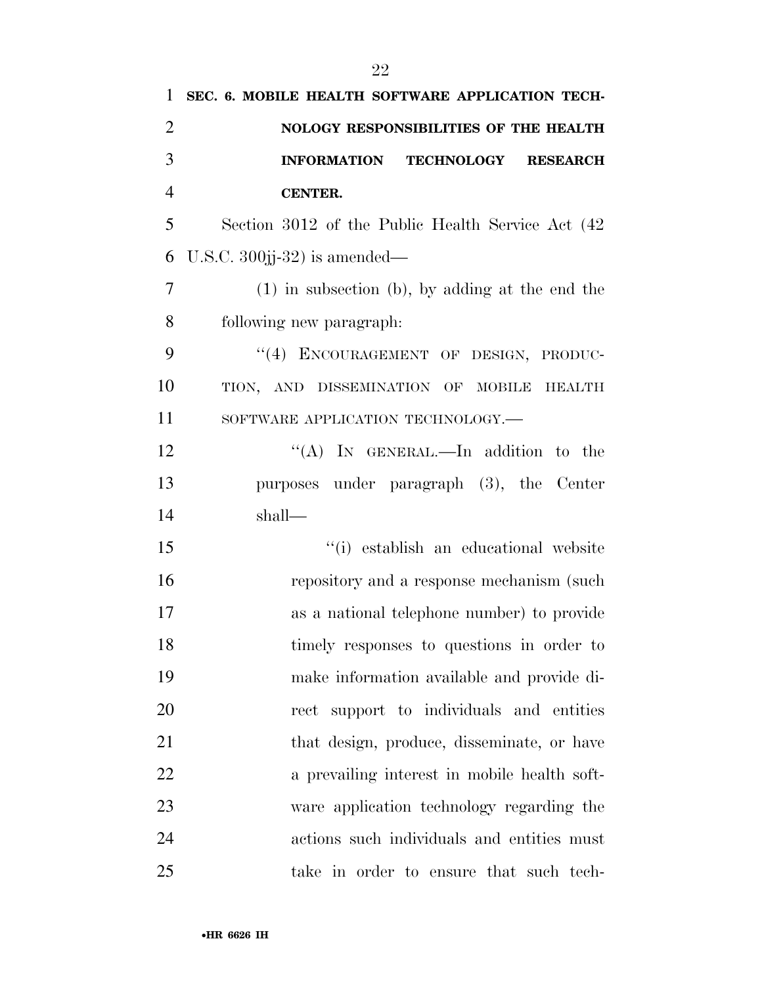| 1              | SEC. 6. MOBILE HEALTH SOFTWARE APPLICATION TECH-   |
|----------------|----------------------------------------------------|
| $\overline{2}$ | NOLOGY RESPONSIBILITIES OF THE HEALTH              |
| 3              | INFORMATION TECHNOLOGY RESEARCH                    |
| $\overline{4}$ | <b>CENTER.</b>                                     |
| 5              | Section 3012 of the Public Health Service Act (42) |
| 6              | U.S.C. $300$ jj- $32)$ is amended—                 |
| $\overline{7}$ | $(1)$ in subsection (b), by adding at the end the  |
| 8              | following new paragraph.                           |
| 9              | "(4) ENCOURAGEMENT OF DESIGN, PRODUC-              |
| 10             | TION, AND DISSEMINATION OF MOBILE<br><b>HEALTH</b> |
| 11             | SOFTWARE APPLICATION TECHNOLOGY.-                  |
| 12             | "(A) IN GENERAL.—In addition to the                |
| 13             | purposes under paragraph (3), the Center           |
| 14             | shall—                                             |
| 15             | "(i) establish an educational website              |
| 16             | repository and a response mechanism (such          |
| 17             | as a national telephone number) to provide         |
| 18             | timely responses to questions in order to          |
| 19             | make information available and provide di-         |
| 20             | rect support to individuals and entities           |
| 21             | that design, produce, disseminate, or have         |
| 22             | a prevailing interest in mobile health soft-       |
| 23             | ware application technology regarding the          |
| 24             | actions such individuals and entities must         |
| 25             | take in order to ensure that such tech-            |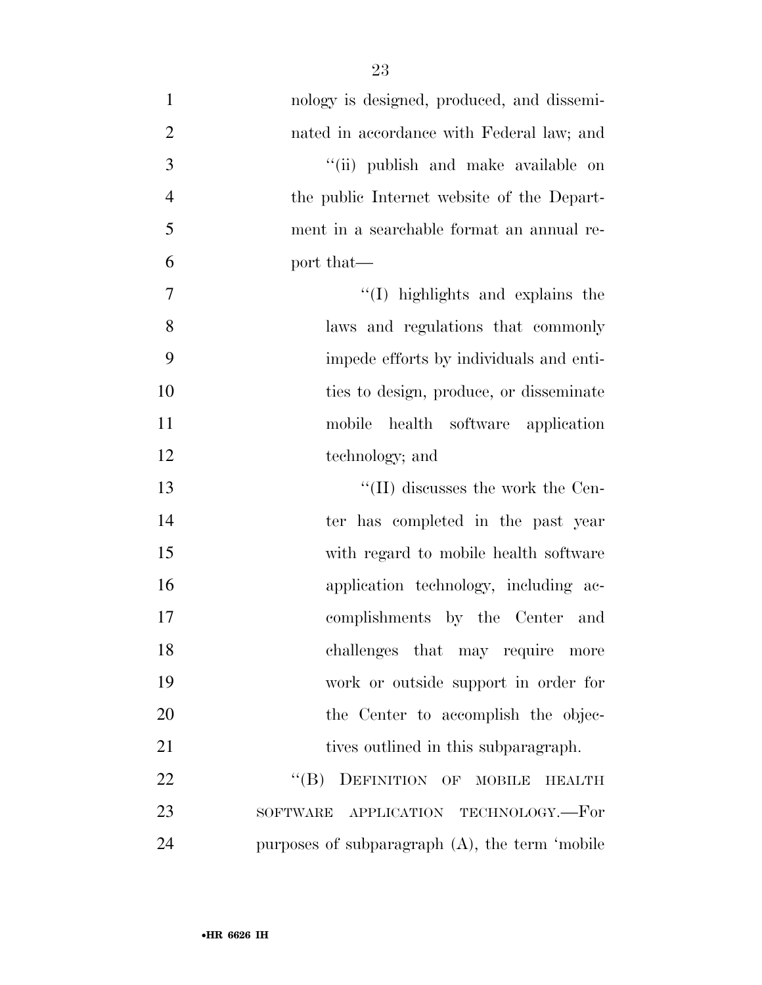| $\mathbf{1}$   | nology is designed, produced, and dissemi-            |
|----------------|-------------------------------------------------------|
| $\overline{2}$ | nated in accordance with Federal law; and             |
| 3              | "(ii) publish and make available on                   |
| $\overline{4}$ | the public Internet website of the Depart-            |
| 5              | ment in a searchable format an annual re-             |
| 6              | port that—                                            |
| $\tau$         | "(I) highlights and explains the                      |
| 8              | laws and regulations that commonly                    |
| 9              | impede efforts by individuals and enti-               |
| 10             | ties to design, produce, or disseminate               |
| 11             | mobile<br>health software application                 |
| 12             | technology; and                                       |
| 13             | $\lq\lq$ (II) discusses the work the Cen-             |
| 14             | ter has completed in the past year                    |
| 15             | with regard to mobile health software                 |
| 16             | application technology, including ac-                 |
| 17             | complishments by the Center and                       |
| 18             | challenges that may require more                      |
| 19             | work or outside support in order for                  |
| 20             | the Center to accomplish the objec-                   |
| 21             | tives outlined in this subparagraph.                  |
| 22             | DEFINITION OF MOBILE<br>$\lq\lq (B)$<br><b>HEALTH</b> |
| 23             | APPLICATION TECHNOLOGY.—For<br>SOFTWARE               |
| 24             | purposes of subparagraph $(A)$ , the term 'mobile     |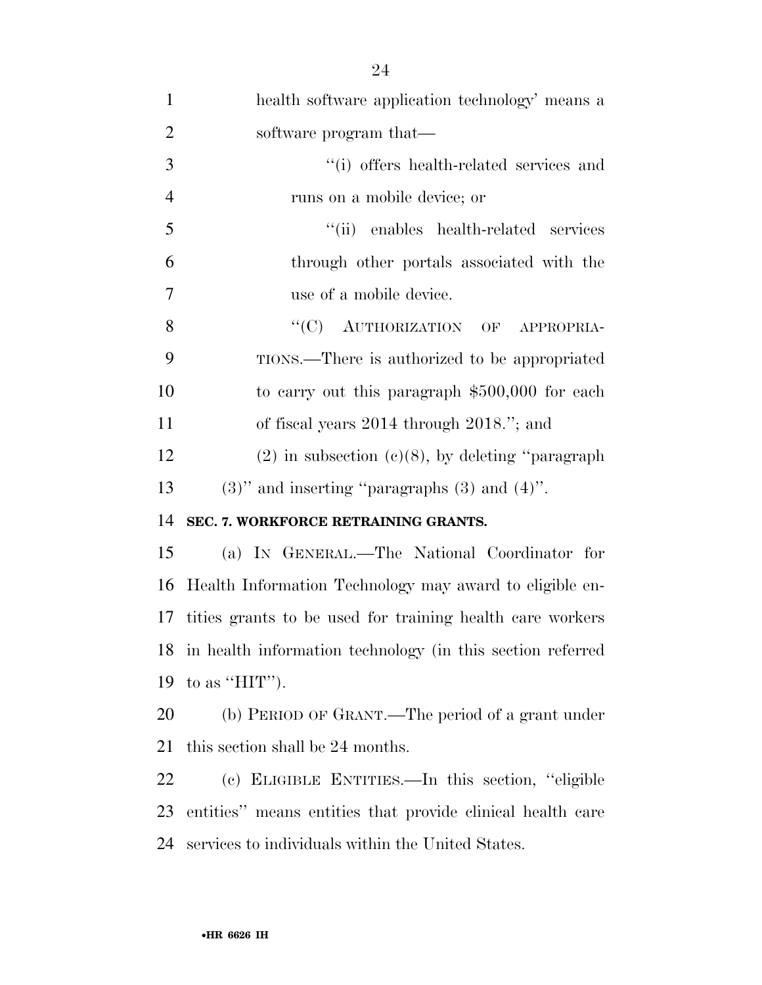| $\mathbf{1}$   | health software application technology' means a               |
|----------------|---------------------------------------------------------------|
| $\overline{2}$ | software program that—                                        |
| 3              | "(i) offers health-related services and                       |
| $\overline{4}$ | runs on a mobile device; or                                   |
| 5              | "(ii) enables health-related services                         |
| 6              | through other portals associated with the                     |
| $\tau$         | use of a mobile device.                                       |
| 8              | "(C) AUTHORIZATION OF APPROPRIA-                              |
| 9              | TIONS.—There is authorized to be appropriated                 |
| 10             | to carry out this paragraph $$500,000$ for each               |
| 11             | of fiscal years $2014$ through $2018$ ."; and                 |
| 12             | $(2)$ in subsection $(e)(8)$ , by deleting "paragraph"        |
| 13             | $(3)$ " and inserting "paragraphs $(3)$ and $(4)$ ".          |
| 14             | SEC. 7. WORKFORCE RETRAINING GRANTS.                          |
| 15             | (a) IN GENERAL.—The National Coordinator for                  |
| 16             | Health Information Technology may award to eligible en-       |
|                | 17 tities grants to be used for training health care workers  |
|                | 18 in health information technology (in this section referred |
|                | 19 to as " $HIT$ ").                                          |
| 20             | (b) PERIOD OF GRANT.—The period of a grant under              |
| 21             | this section shall be 24 months.                              |
| 22             | (c) ELIGIBLE ENTITIES.—In this section, "eligible             |
| 23             | entities" means entities that provide clinical health care    |
| 24             | services to individuals within the United States.             |